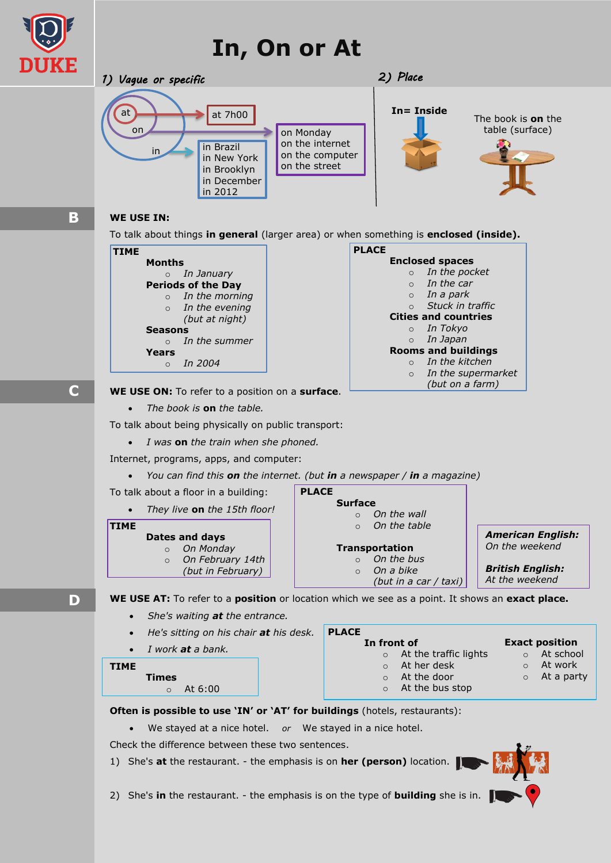## **In, On or At**



**B**

**D**